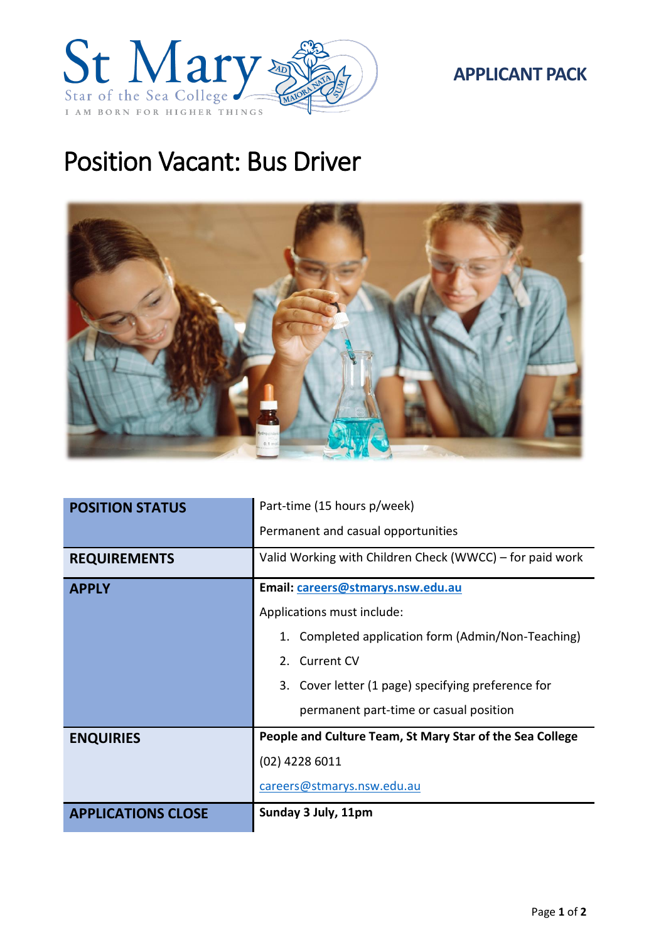

# Position Vacant: Bus Driver



| <b>POSITION STATUS</b>    | Part-time (15 hours p/week)                              |
|---------------------------|----------------------------------------------------------|
|                           | Permanent and casual opportunities                       |
| <b>REQUIREMENTS</b>       | Valid Working with Children Check (WWCC) – for paid work |
| <b>APPLY</b>              | Email: careers@stmarys.nsw.edu.au                        |
|                           | Applications must include:                               |
|                           | Completed application form (Admin/Non-Teaching)          |
|                           | 2. Current CV                                            |
|                           | 3. Cover letter (1 page) specifying preference for       |
|                           | permanent part-time or casual position                   |
| <b>ENQUIRIES</b>          | People and Culture Team, St Mary Star of the Sea College |
|                           | (02) 4228 6011                                           |
|                           | careers@stmarys.nsw.edu.au                               |
| <b>APPLICATIONS CLOSE</b> | Sunday 3 July, 11pm                                      |